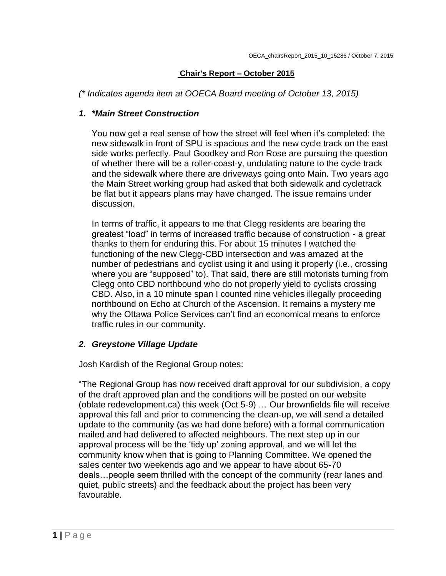### **Chair's Report – October 2015**

*(\* Indicates agenda item at OOECA Board meeting of October 13, 2015)*

## *1. \*Main Street Construction*

You now get a real sense of how the street will feel when it's completed: the new sidewalk in front of SPU is spacious and the new cycle track on the east side works perfectly. Paul Goodkey and Ron Rose are pursuing the question of whether there will be a roller-coast-y, undulating nature to the cycle track and the sidewalk where there are driveways going onto Main. Two years ago the Main Street working group had asked that both sidewalk and cycletrack be flat but it appears plans may have changed. The issue remains under discussion.

In terms of traffic, it appears to me that Clegg residents are bearing the greatest "load" in terms of increased traffic because of construction - a great thanks to them for enduring this. For about 15 minutes I watched the functioning of the new Clegg-CBD intersection and was amazed at the number of pedestrians and cyclist using it and using it properly (i.e., crossing where you are "supposed" to). That said, there are still motorists turning from Clegg onto CBD northbound who do not properly yield to cyclists crossing CBD. Also, in a 10 minute span I counted nine vehicles illegally proceeding northbound on Echo at Church of the Ascension. It remains a mystery me why the Ottawa Police Services can't find an economical means to enforce traffic rules in our community.

## *2. Greystone Village Update*

Josh Kardish of the Regional Group notes:

"The Regional Group has now received draft approval for our subdivision, a copy of the draft approved plan and the conditions will be posted on our website (oblate redevelopment.ca) this week (Oct 5-9) … Our brownfields file will receive approval this fall and prior to commencing the clean-up, we will send a detailed update to the community (as we had done before) with a formal communication mailed and had delivered to affected neighbours. The next step up in our approval process will be the 'tidy up' zoning approval, and we will let the community know when that is going to Planning Committee. We opened the sales center two weekends ago and we appear to have about 65-70 deals…people seem thrilled with the concept of the community (rear lanes and quiet, public streets) and the feedback about the project has been very favourable.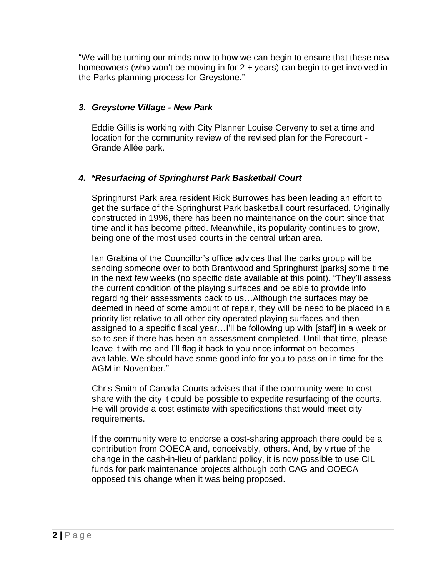"We will be turning our minds now to how we can begin to ensure that these new homeowners (who won't be moving in for 2 + years) can begin to get involved in the Parks planning process for Greystone."

## *3. Greystone Village - New Park*

Eddie Gillis is working with City Planner Louise Cerveny to set a time and location for the community review of the revised plan for the Forecourt - Grande Allée park.

## *4. \*Resurfacing of Springhurst Park Basketball Court*

Springhurst Park area resident Rick Burrowes has been leading an effort to get the surface of the Springhurst Park basketball court resurfaced. Originally constructed in 1996, there has been no maintenance on the court since that time and it has become pitted. Meanwhile, its popularity continues to grow, being one of the most used courts in the central urban area.

Ian Grabina of the Councillor's office advices that the parks group will be sending someone over to both Brantwood and Springhurst [parks] some time in the next few weeks (no specific date available at this point). "They'll assess the current condition of the playing surfaces and be able to provide info regarding their assessments back to us…Although the surfaces may be deemed in need of some amount of repair, they will be need to be placed in a priority list relative to all other city operated playing surfaces and then assigned to a specific fiscal year…I'll be following up with [staff] in a week or so to see if there has been an assessment completed. Until that time, please leave it with me and I'll flag it back to you once information becomes available. We should have some good info for you to pass on in time for the AGM in November."

Chris Smith of Canada Courts advises that if the community were to cost share with the city it could be possible to expedite resurfacing of the courts. He will provide a cost estimate with specifications that would meet city requirements.

If the community were to endorse a cost-sharing approach there could be a contribution from OOECA and, conceivably, others. And, by virtue of the change in the cash-in-lieu of parkland policy, it is now possible to use CIL funds for park maintenance projects although both CAG and OOECA opposed this change when it was being proposed.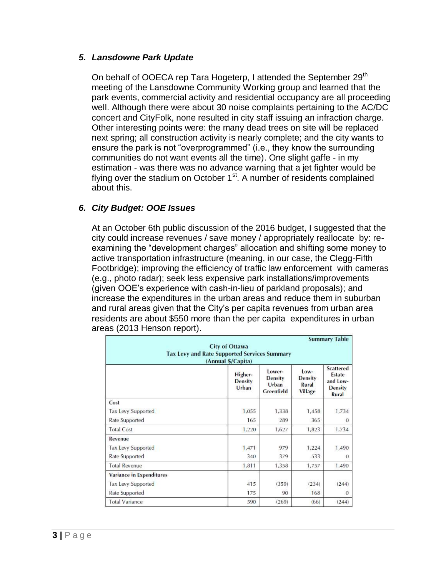#### *5. Lansdowne Park Update*

On behalf of OOECA rep Tara Hogeterp, I attended the September  $29<sup>th</sup>$ meeting of the Lansdowne Community Working group and learned that the park events, commercial activity and residential occupancy are all proceeding well. Although there were about 30 noise complaints pertaining to the AC/DC concert and CityFolk, none resulted in city staff issuing an infraction charge. Other interesting points were: the many dead trees on site will be replaced next spring; all construction activity is nearly complete; and the city wants to ensure the park is not "overprogrammed" (i.e., they know the surrounding communities do not want events all the time). One slight gaffe - in my estimation - was there was no advance warning that a jet fighter would be flying over the stadium on October  $1<sup>st</sup>$ . A number of residents complained about this.

## *6. City Budget: OOE Issues*

At an October 6th public discussion of the 2016 budget, I suggested that the city could increase revenues / save money / appropriately reallocate by: reexamining the "development charges" allocation and shifting some money to active transportation infrastructure (meaning, in our case, the Clegg-Fifth Footbridge); improving the efficiency of traffic law enforcement with cameras (e.g., photo radar); seek less expensive park installations/improvements (given OOE's experience with cash-in-lieu of parkland proposals); and increase the expenditures in the urban areas and reduce them in suburban and rural areas given that the City's per capita revenues from urban area residents are about \$550 more than the per capita expenditures in urban areas (2013 Henson report).

| <b>Summary Table</b><br><b>City of Ottawa</b><br><b>Tax Levy and Rate Supported Services Summary</b><br>(Annual \$/Capita) |                                    |                                                 |                                                     |                                                                          |
|----------------------------------------------------------------------------------------------------------------------------|------------------------------------|-------------------------------------------------|-----------------------------------------------------|--------------------------------------------------------------------------|
|                                                                                                                            | Higher-<br><b>Density</b><br>Urban | Lower-<br><b>Density</b><br>Urban<br>Greenfield | $low-$<br><b>Density</b><br>Rural<br><b>Village</b> | <b>Scattered</b><br>Estate<br>and Low-<br><b>Density</b><br><b>Rural</b> |
| Cost                                                                                                                       |                                    |                                                 |                                                     |                                                                          |
| <b>Tax Levy Supported</b>                                                                                                  | 1,055                              | 1,338                                           | 1,458                                               | 1,734                                                                    |
| Rate Supported                                                                                                             | 165                                | 289                                             | 365                                                 | 0                                                                        |
| <b>Total Cost</b>                                                                                                          | 1,220                              | 1,627                                           | 1,823                                               | 1,734                                                                    |
| Revenue                                                                                                                    |                                    |                                                 |                                                     |                                                                          |
| <b>Tax Levy Supported</b>                                                                                                  | 1,471                              | 979                                             | 1,224                                               | 1,490                                                                    |
| Rate Supported                                                                                                             | 340                                | 379                                             | 533                                                 | $\Omega$                                                                 |
| <b>Total Revenue</b>                                                                                                       | 1,811                              | 1,358                                           | 1,757                                               | 1,490                                                                    |
| <b>Variance in Expenditures</b>                                                                                            |                                    |                                                 |                                                     |                                                                          |
| <b>Tax Levy Supported</b>                                                                                                  | 415                                | (359)                                           | (234)                                               | (244)                                                                    |
| Rate Supported                                                                                                             | 175                                | 90                                              | 168                                                 | o                                                                        |
| <b>Total Variance</b>                                                                                                      | 590                                | (269)                                           | (66)                                                | (244)                                                                    |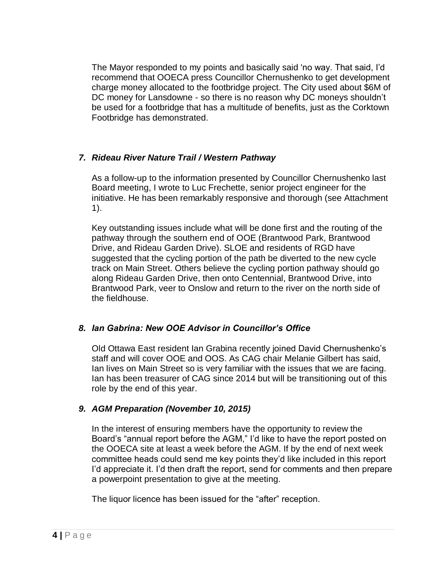The Mayor responded to my points and basically said 'no way. That said, I'd recommend that OOECA press Councillor Chernushenko to get development charge money allocated to the footbridge project. The City used about \$6M of DC money for Lansdowne - so there is no reason why DC moneys shouldn't be used for a footbridge that has a multitude of benefits, just as the Corktown Footbridge has demonstrated.

## *7. Rideau River Nature Trail / Western Pathway*

As a follow-up to the information presented by Councillor Chernushenko last Board meeting, I wrote to Luc Frechette, senior project engineer for the initiative. He has been remarkably responsive and thorough (see Attachment 1).

Key outstanding issues include what will be done first and the routing of the pathway through the southern end of OOE (Brantwood Park, Brantwood Drive, and Rideau Garden Drive). SLOE and residents of RGD have suggested that the cycling portion of the path be diverted to the new cycle track on Main Street. Others believe the cycling portion pathway should go along Rideau Garden Drive, then onto Centennial, Brantwood Drive, into Brantwood Park, veer to Onslow and return to the river on the north side of the fieldhouse.

## *8. Ian Gabrina: New OOE Advisor in Councillor's Office*

Old Ottawa East resident Ian Grabina recently joined David Chernushenko's staff and will cover OOE and OOS. As CAG chair Melanie Gilbert has said, Ian lives on Main Street so is very familiar with the issues that we are facing. Ian has been treasurer of CAG since 2014 but will be transitioning out of this role by the end of this year.

## *9. AGM Preparation (November 10, 2015)*

In the interest of ensuring members have the opportunity to review the Board's "annual report before the AGM," I'd like to have the report posted on the OOECA site at least a week before the AGM. If by the end of next week committee heads could send me key points they'd like included in this report I'd appreciate it. I'd then draft the report, send for comments and then prepare a powerpoint presentation to give at the meeting.

The liquor licence has been issued for the "after" reception.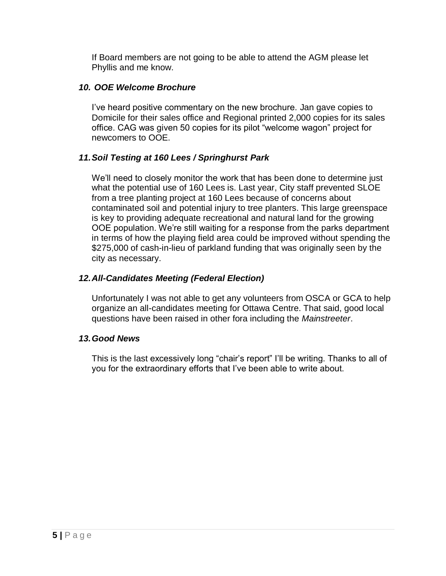If Board members are not going to be able to attend the AGM please let Phyllis and me know.

## *10. OOE Welcome Brochure*

I've heard positive commentary on the new brochure. Jan gave copies to Domicile for their sales office and Regional printed 2,000 copies for its sales office. CAG was given 50 copies for its pilot "welcome wagon" project for newcomers to OOE.

# *11.Soil Testing at 160 Lees / Springhurst Park*

We'll need to closely monitor the work that has been done to determine just what the potential use of 160 Lees is. Last year, City staff prevented SLOE from a tree planting project at 160 Lees because of concerns about contaminated soil and potential injury to tree planters. This large greenspace is key to providing adequate recreational and natural land for the growing OOE population. We're still waiting for a response from the parks department in terms of how the playing field area could be improved without spending the \$275,000 of cash-in-lieu of parkland funding that was originally seen by the city as necessary.

# *12.All-Candidates Meeting (Federal Election)*

Unfortunately I was not able to get any volunteers from OSCA or GCA to help organize an all-candidates meeting for Ottawa Centre. That said, good local questions have been raised in other fora including the *Mainstreeter*.

## *13.Good News*

This is the last excessively long "chair's report" I'll be writing. Thanks to all of you for the extraordinary efforts that I've been able to write about.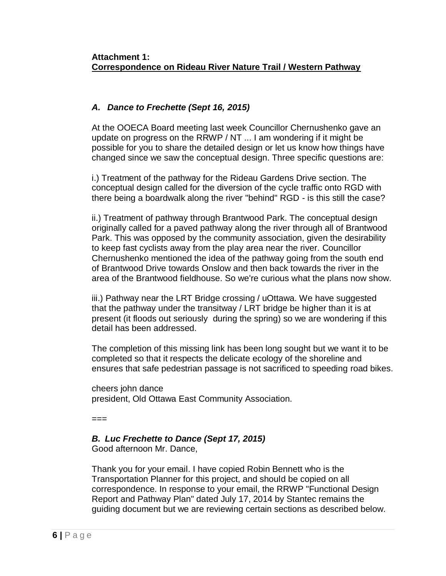## **Attachment 1: Correspondence on Rideau River Nature Trail / Western Pathway**

# *A. Dance to Frechette (Sept 16, 2015)*

At the OOECA Board meeting last week Councillor Chernushenko gave an update on progress on the RRWP / NT ... I am wondering if it might be possible for you to share the detailed design or let us know how things have changed since we saw the conceptual design. Three specific questions are:

i.) Treatment of the pathway for the Rideau Gardens Drive section. The conceptual design called for the diversion of the cycle traffic onto RGD with there being a boardwalk along the river "behind" RGD - is this still the case?

ii.) Treatment of pathway through Brantwood Park. The conceptual design originally called for a paved pathway along the river through all of Brantwood Park. This was opposed by the community association, given the desirability to keep fast cyclists away from the play area near the river. Councillor Chernushenko mentioned the idea of the pathway going from the south end of Brantwood Drive towards Onslow and then back towards the river in the area of the Brantwood fieldhouse. So we're curious what the plans now show.

iii.) Pathway near the LRT Bridge crossing / uOttawa. We have suggested that the pathway under the transitway / LRT bridge be higher than it is at present (it floods out seriously during the spring) so we are wondering if this detail has been addressed.

The completion of this missing link has been long sought but we want it to be completed so that it respects the delicate ecology of the shoreline and ensures that safe pedestrian passage is not sacrificed to speeding road bikes.

cheers john dance president, Old Ottawa East Community Association.

 $=$  $=$  $=$ 

*B. Luc Frechette to Dance (Sept 17, 2015)* Good afternoon Mr. Dance,

Thank you for your email. I have copied Robin Bennett who is the Transportation Planner for this project, and should be copied on all correspondence. In response to your email, the RRWP "Functional Design Report and Pathway Plan" dated July 17, 2014 by Stantec remains the guiding document but we are reviewing certain sections as described below.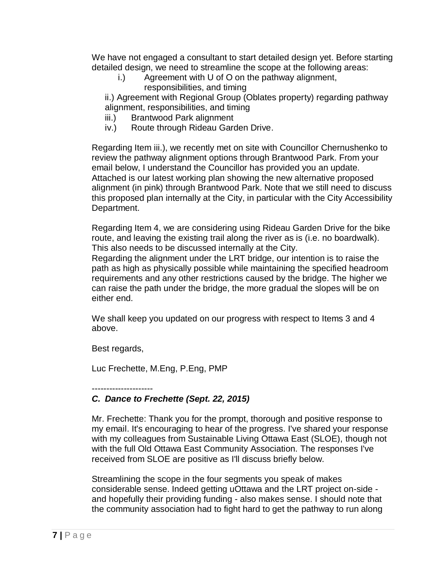We have not engaged a consultant to start detailed design yet. Before starting detailed design, we need to streamline the scope at the following areas:

i.) Agreement with U of O on the pathway alignment, responsibilities, and timing

ii.) Agreement with Regional Group (Oblates property) regarding pathway alignment, responsibilities, and timing

- iii.) Brantwood Park alignment
- iv.) Route through Rideau Garden Drive.

Regarding Item iii.), we recently met on site with Councillor Chernushenko to review the pathway alignment options through Brantwood Park. From your email below, I understand the Councillor has provided you an update. Attached is our latest working plan showing the new alternative proposed alignment (in pink) through Brantwood Park. Note that we still need to discuss this proposed plan internally at the City, in particular with the City Accessibility Department.

Regarding Item 4, we are considering using Rideau Garden Drive for the bike route, and leaving the existing trail along the river as is (i.e. no boardwalk). This also needs to be discussed internally at the City.

Regarding the alignment under the LRT bridge, our intention is to raise the path as high as physically possible while maintaining the specified headroom requirements and any other restrictions caused by the bridge. The higher we can raise the path under the bridge, the more gradual the slopes will be on either end.

We shall keep you updated on our progress with respect to Items 3 and 4 above.

Best regards,

Luc Frechette, M.Eng, P.Eng, PMP

---------------------

# *C. Dance to Frechette (Sept. 22, 2015)*

Mr. Frechette: Thank you for the prompt, thorough and positive response to my email. It's encouraging to hear of the progress. I've shared your response with my colleagues from Sustainable Living Ottawa East (SLOE), though not with the full Old Ottawa East Community Association. The responses I've received from SLOE are positive as I'll discuss briefly below.

Streamlining the scope in the four segments you speak of makes considerable sense. Indeed getting uOttawa and the LRT project on-side and hopefully their providing funding - also makes sense. I should note that the community association had to fight hard to get the pathway to run along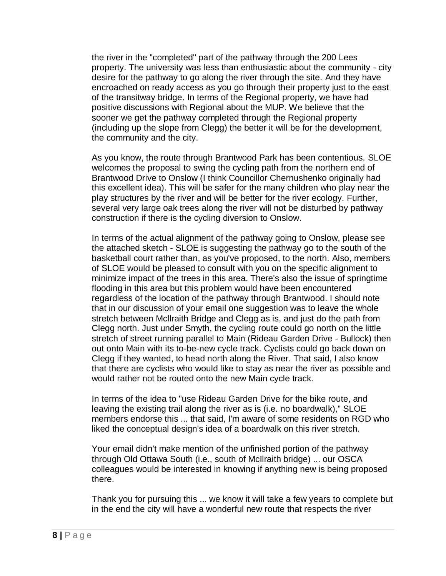the river in the "completed" part of the pathway through the 200 Lees property. The university was less than enthusiastic about the community - city desire for the pathway to go along the river through the site. And they have encroached on ready access as you go through their property just to the east of the transitway bridge. In terms of the Regional property, we have had positive discussions with Regional about the MUP. We believe that the sooner we get the pathway completed through the Regional property (including up the slope from Clegg) the better it will be for the development, the community and the city.

As you know, the route through Brantwood Park has been contentious. SLOE welcomes the proposal to swing the cycling path from the northern end of Brantwood Drive to Onslow (I think Councillor Chernushenko originally had this excellent idea). This will be safer for the many children who play near the play structures by the river and will be better for the river ecology. Further, several very large oak trees along the river will not be disturbed by pathway construction if there is the cycling diversion to Onslow.

In terms of the actual alignment of the pathway going to Onslow, please see the attached sketch - SLOE is suggesting the pathway go to the south of the basketball court rather than, as you've proposed, to the north. Also, members of SLOE would be pleased to consult with you on the specific alignment to minimize impact of the trees in this area. There's also the issue of springtime flooding in this area but this problem would have been encountered regardless of the location of the pathway through Brantwood. I should note that in our discussion of your email one suggestion was to leave the whole stretch between Mcllraith Bridge and Clegg as is, and just do the path from Clegg north. Just under Smyth, the cycling route could go north on the little stretch of street running parallel to Main (Rideau Garden Drive - Bullock) then out onto Main with its to-be-new cycle track. Cyclists could go back down on Clegg if they wanted, to head north along the River. That said, I also know that there are cyclists who would like to stay as near the river as possible and would rather not be routed onto the new Main cycle track.

In terms of the idea to "use Rideau Garden Drive for the bike route, and leaving the existing trail along the river as is (i.e. no boardwalk)," SLOE members endorse this ... that said, I'm aware of some residents on RGD who liked the conceptual design's idea of a boardwalk on this river stretch.

Your email didn't make mention of the unfinished portion of the pathway through Old Ottawa South (i.e., south of McIlraith bridge) ... our OSCA colleagues would be interested in knowing if anything new is being proposed there.

Thank you for pursuing this ... we know it will take a few years to complete but in the end the city will have a wonderful new route that respects the river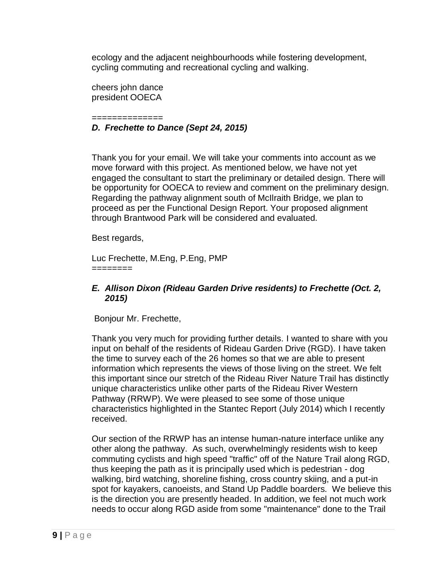ecology and the adjacent neighbourhoods while fostering development, cycling commuting and recreational cycling and walking.

cheers john dance president OOECA

#### ============== *D. Frechette to Dance (Sept 24, 2015)*

Thank you for your email. We will take your comments into account as we move forward with this project. As mentioned below, we have not yet engaged the consultant to start the preliminary or detailed design. There will be opportunity for OOECA to review and comment on the preliminary design. Regarding the pathway alignment south of McIlraith Bridge, we plan to proceed as per the Functional Design Report. Your proposed alignment through Brantwood Park will be considered and evaluated.

Best regards,

Luc Frechette, M.Eng, P.Eng, PMP ========

#### *E. Allison Dixon (Rideau Garden Drive residents) to Frechette (Oct. 2, 2015)*

Bonjour Mr. Frechette,

Thank you very much for providing further details. I wanted to share with you input on behalf of the residents of Rideau Garden Drive (RGD). I have taken the time to survey each of the 26 homes so that we are able to present information which represents the views of those living on the street. We felt this important since our stretch of the Rideau River Nature Trail has distinctly unique characteristics unlike other parts of the Rideau River Western Pathway (RRWP). We were pleased to see some of those unique characteristics highlighted in the Stantec Report (July 2014) which I recently received.

Our section of the RRWP has an intense human-nature interface unlike any other along the pathway. As such, overwhelmingly residents wish to keep commuting cyclists and high speed "traffic" off of the Nature Trail along RGD, thus keeping the path as it is principally used which is pedestrian - dog walking, bird watching, shoreline fishing, cross country skiing, and a put-in spot for kayakers, canoeists, and Stand Up Paddle boarders. We believe this is the direction you are presently headed. In addition, we feel not much work needs to occur along RGD aside from some "maintenance" done to the Trail